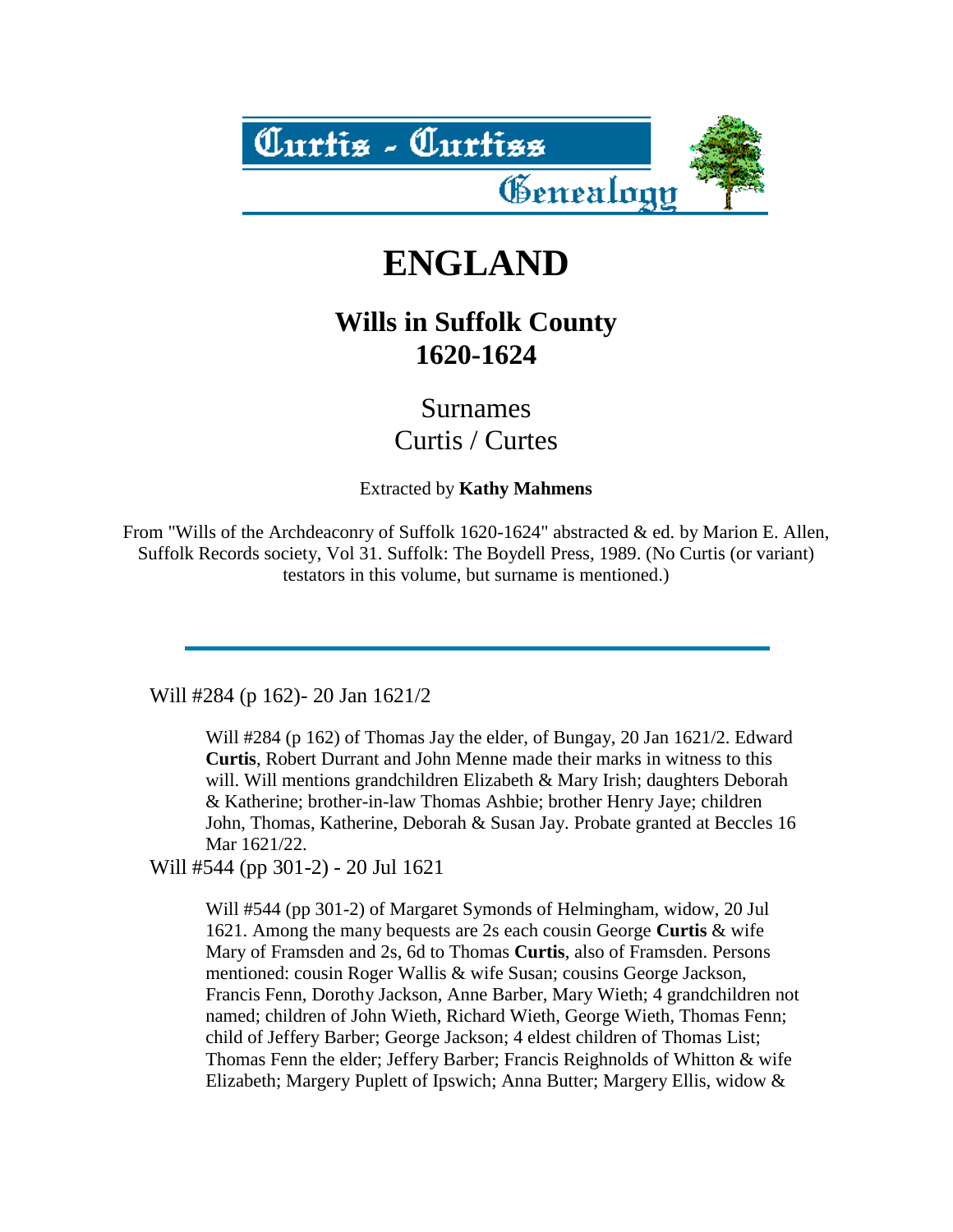

## **ENGLAND**

## **Wills in Suffolk County 1620-1624**

Surnames Curtis / Curtes

Extracted by **Kathy Mahmens**

From "Wills of the Archdeaconry of Suffolk 1620-1624" abstracted & ed. by Marion E. Allen, Suffolk Records society, Vol 31. Suffolk: The Boydell Press, 1989. (No Curtis (or variant) testators in this volume, but surname is mentioned.)

Will #284 (p 162)- 20 Jan 1621/2

Will #284 (p 162) of Thomas Jay the elder, of Bungay, 20 Jan 1621/2. Edward **Curtis**, Robert Durrant and John Menne made their marks in witness to this will. Will mentions grandchildren Elizabeth & Mary Irish; daughters Deborah & Katherine; brother-in-law Thomas Ashbie; brother Henry Jaye; children John, Thomas, Katherine, Deborah & Susan Jay. Probate granted at Beccles 16 Mar 1621/22.

Will #544 (pp 301-2) - 20 Jul 1621

Will #544 (pp 301-2) of Margaret Symonds of Helmingham, widow, 20 Jul 1621. Among the many bequests are 2s each cousin George **Curtis** & wife Mary of Framsden and 2s, 6d to Thomas **Curtis**, also of Framsden. Persons mentioned: cousin Roger Wallis & wife Susan; cousins George Jackson, Francis Fenn, Dorothy Jackson, Anne Barber, Mary Wieth; 4 grandchildren not named; children of John Wieth, Richard Wieth, George Wieth, Thomas Fenn; child of Jeffery Barber; George Jackson; 4 eldest children of Thomas List; Thomas Fenn the elder; Jeffery Barber; Francis Reighnolds of Whitton & wife Elizabeth; Margery Puplett of Ipswich; Anna Butter; Margery Ellis, widow &